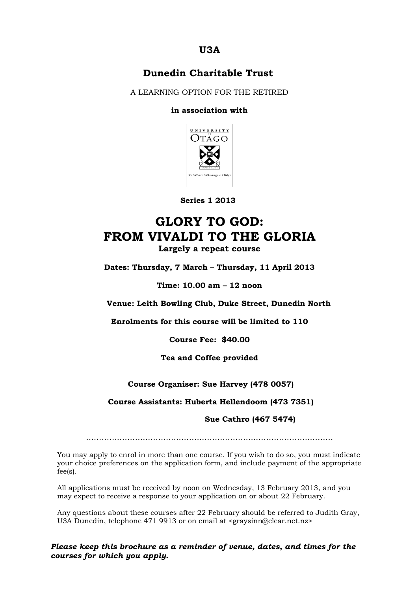## **U3A**

### **Dunedin Charitable Trust**

A LEARNING OPTION FOR THE RETIRED

### **in association with**



 **Series 1 2013**

# **GLORY TO GOD: FROM VIVALDI TO THE GLORIA Largely a repeat course**

**Dates: Thursday, 7 March – Thursday, 11 April 2013**

**Time: 10.00 am – 12 noon**

**Venue: Leith Bowling Club, Duke Street, Dunedin North**

**Enrolments for this course will be limited to 110**

**Course Fee: \$40.00**

**Tea and Coffee provided**

**Course Organiser: Sue Harvey (478 0057)**

**Course Assistants: Huberta Hellendoom (473 7351)**

 **Sue Cathro (467 5474)**

……………………………………………………………………………………

You may apply to enrol in more than one course. If you wish to do so, you must indicate your choice preferences on the application form, and include payment of the appropriate fee(s).

All applications must be received by noon on Wednesday, 13 February 2013, and you may expect to receive a response to your application on or about 22 February.

Any questions about these courses after 22 February should be referred to Judith Gray, U3A Dunedin, telephone 471 9913 or on email at <graysinn@clear.net.nz>

*Please keep this brochure as a reminder of venue, dates, and times for the courses for which you apply.*